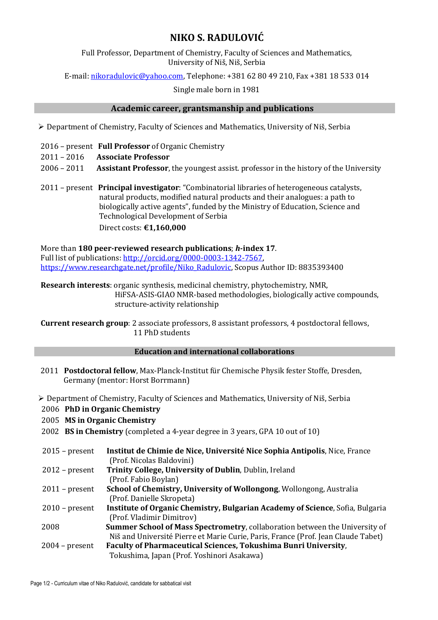## **NIKO S. RADULOVIĆ**

Full Professor, Department of Chemistry, Faculty of Sciences and Mathematics, University of Niš, Niš, Serbia

E-mail: [nikoradulovic@yahoo.com,](mailto:nikoradulovic@yahoo.com) Telephone: +381 62 80 49 210, Fax +381 18 533 014

Single male born in 1981

## **Academic career, grantsmanship and publications**

Department of Chemistry, Faculty of Sciences and Mathematics, University of Niš, Serbia

- 2016 present **Full Professor** of Organic Chemistry
- 2011 2016 **Associate Professor**
- 2006 2011 **Assistant Professor**, the youngest assist. professor in the history of the University
- 2011 present **Principal investigator**: "Combinatorial libraries of heterogeneous catalysts, natural products, modified natural products and their analogues: a path to biologically active agents", funded by the Ministry of Education, Science and Technological Development of Serbia
	- Direct costs: **€1,160,000**

More than **180 peer-reviewed research publications**; *h***-index 17**. Full list of publications[: http://orcid.org/0000-0003-1342-7567,](https://www-scopus-com.proxy.kobson.nb.rs/redirect.uri?url=http://www.orcid.org/0000-0003-1342-7567&authorId=8835393400&origin=AuthorProfile&orcId=0000-0003-1342-7567&category=orcidLink) [https://www.researchgate.net/profile/Niko\\_Radulovic,](https://www.researchgate.net/profile/Niko_Radulovic) Scopus Author ID: 8835393400

**Research interests**: organic synthesis, medicinal chemistry, phytochemistry, NMR, HiFSA-ASIS-GIAO NMR-based methodologies, biologically active compounds, structure-activity relationship

**Current research group**: 2 associate professors, 8 assistant professors, 4 postdoctoral fellows, 11 PhD students

## **Education and international collaborations**

- 2011 **Postdoctoral fellow**, Max-Planck-Institut für Chemische Physik fester Stoffe, Dresden, Germany (mentor: Horst Borrmann)
- Department of Chemistry, Faculty of Sciences and Mathematics, University of Niš, Serbia

#### 2006 **PhD in Organic Chemistry**

- 2005 **MS in Organic Chemistry**
- 2002 **BS in Chemistry** (completed a 4-year degree in 3 years, GPA 10 out of 10)
- 2015 present **Institut de Chimie de Nice, Université Nice Sophia Antipolis**, Nice, France (Prof. Nicolas Baldovini) 2012 – present **Trinity College, University of Dublin**, Dublin, Ireland (Prof. Fabio Boylan) 2011 – present **School of Chemistry, University of Wollongong**, Wollongong, Australia (Prof. Danielle Skropeta) 2010 – present **Institute of Organic Chemistry, Bulgarian Academy of Science**, Sofia, Bulgaria
- (Prof. Vladimir Dimitrov)
- 2008 **Summer School of Mass Spectrometry**, collaboration between the University of Niš and Université Pierre et Marie Curie, Paris, France (Prof. Jean Claude Tabet) 2004 – present **Faculty of Pharmaceutical Sciences, Tokushima Bunri University**,

Tokushima, Japan (Prof. Yoshinori Asakawa)